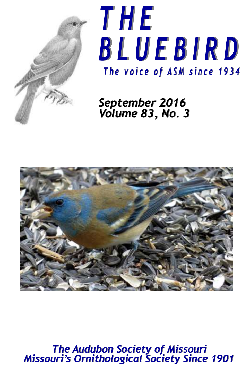



# *September 2016 Volume 83, No. 3*



*The Audubon Society of Missouri Missouri's Ornithological Society Since 1901*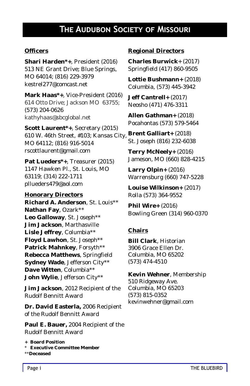# **The Audubon Society of Missouri**

#### **Officers**

**Shari Harden\*+**, President (2016) 513 NE Grant Drive; Blue Springs, MO 64014; (816) 229-3979 kestrel277@comcast.net

**Mark Haas\*+**, Vice-President (2016) 614 Otto Drive; Jackson MO 63755; (573) 204-0626 kathyhaas@sbcglobal.net

**Scott Laurent\*+**, Secretary (2015) 610 W. 46th Street, #103; Kansas City, **Brent Galliart+** (2018) MO 64112; (816) 916-5014 rscottlaurent@gmail.com

**Pat Lueders\*+**, Treasurer (2015) 1147 Hawken Pl., St. Louis, MO 63119; (314) 222-1711 pllueders479@aol.com

**Honorary Directors Richard A. Anderson**, St. Louis\*\* **Nathan Fay**, Ozark\*\* **Leo Galloway**, St. Joseph\*\* **Jim Jackson**, Marthasville **Lisle Jeffrey**, Columbia\*\* **Floyd Lawhon**, St. Joseph\*\* **Patrick Mahnkey**, Forsyth\*\* **Rebecca Matthews**, Springfield **Sydney Wade**, Jefferson City\*\* **Dave Witten**, Columbia\*\* **John Wylie**, Jefferson City\*\*

**Jim Jackson**, 2012 Recipient of the Rudolf Bennitt Award

**Dr. David Easterla,** 2006 Recipient of the Rudolf Bennitt Award

**Paul E. Bauer,** 2004 Recipient of the Rudolf Bennitt Award

\*\***Deceased**

#### **Regional Directors**

**Charles Burwick**+ (2017) Springfield (417) 860-9505

**Lottie Bushmann+** (2018) Columbia, (573) 445-3942

**Jeff Cantrell+** (2017) Neosho (471) 476-3311

**Allen Gathman+** (2018) Pocahontas (573) 579-5464

St. Joseph (816) 232-6038

**Terry McNeely+** (2016) Jameson, MO (660) 828-4215

**Larry Olpin+** (2016) Warrensburg (660) 747-5228

**Louise Wilkinson+** (2017) Rolla (573) 364-9552

**Phil Wire+** (2016) Bowling Green (314) 960-0370

#### **Chairs**

**Bill Clark**, Historian 3906 Grace Ellen Dr. Columbia, MO 65202 (573) 474-4510

**Kevin Wehner**, Membership 510 Ridgeway Ave. Columbia, MO 65203 (573) 815-0352 kevinwehner@gmail.com

**<sup>+</sup> Board Position**

<sup>\*</sup> **Executive Committee Member**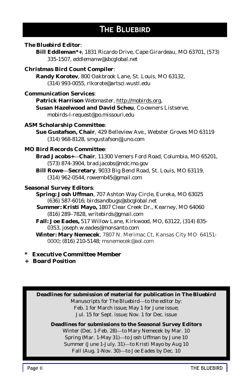# **The Bluebird**

*The Bluebird* **Editor**:

**Bill Eddleman\*+**, 1831 Ricardo Drive, Cape Girardeau, MO 63701, (573) 335-1507, eddlemanw@sbcglobal.net

**Christmas Bird Count Compiler**:

**Randy Korotev**, 800 Oakbrook Lane, St. Louis, MO 63132, (314) 993-0055, rlkorote@artsci.wustl.edu

**Communication Services**:

**Patrick Harrison** Webmaster, http://mobirds.org,

**Susan Hazelwood and David Scheu**, Co-owners Listserve, mobirds-l-request@po.missouri,edu

**ASM Scholarship Committee**:

**Sue Gustafson, Chair**, 429 Belleview Ave., Webster Groves MO 63119 (314) 968-8128, smgustafson@juno.com

#### **MO Bird Records Committee**:

**Brad Jacobs+—Chair**, 11300 Vemers Ford Road, Columbia, MO 65201, (573) 874-3904, brad.jacobs@mdc.mo.gov

**Bill Rowe—Secretary**, 9033 Big Bend Road, St. Louis, MO 63119, (314) 962-0544, rowemb45@gmail.com

#### **Seasonal Survey Editors**:

**Spring: Josh Uffman**, 707 Ashton Way Circle, Eureka, MO 63025 (636) 587-6016; birdsandbugs@sbcglobal.net

 **Summer: Kristi Mayo,** 1807 Clear Creek Dr., Kearney, MO 64060 (816) 289–7828, writebirds@gmail.com

**Fall: Joe Eades,** 517 Willow Lane, Kirkwood, MO, 63122, (314) 835- 0353, joseph.w.eades@monsanto.com

**Winter: Mary Nemecek**, 7807 N. Merimac Ct, Kansas City MO 64151- 0000; (816) 210-5148; msnemecek@aol.com

- **\* Executive Committee Member**
- **+ Board Position**

**Deadlines for submission of material for publication in** *The Bluebird* Manuscripts for *The Bluebird*—to the editor by: Feb. 1 for March issue; May 1 for June issue; Jul. 15 for Sept. issue; Nov. 1 for Dec. issue

**Deadlines for submissions to the Seasonal Survey Editors** Winter (Dec. 1-Feb. 28)—to Mary Nemecek by Mar. 10 Spring (Mar. 1-May 31)—to Josh Uffman by June 10 Summer (June 1-July. 31)—to Kristi Mayo by Aug 10 Fall (Aug. 1-Nov. 30)—to Joe Eades by Dec. 10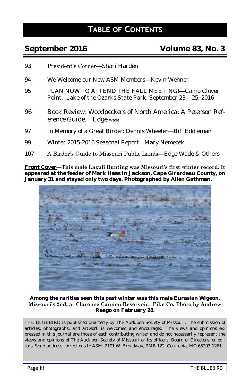# **Table of Contents**

# **September 2016 Volume 83, No. 3**

- 93 President's Corner—Shari Harden
- 94 We Welcome our New ASM Members—Kevin Wehner
- 95 PLAN NOW TO ATTEND THE FALL MEETING!—Camp Clover Point, Lake of the Ozarks State Park, September 23 – 25, 2016
- 96 Book Review: *Woodpeckers of North America: A Peterson Reference Guide.—*Edge Wade
- 97 In Memory of a Great Birder: Dennis Wheeler--- Bill Eddleman
- 99 Winter 2015-2016 Seasonal Report—Mary Nemecek
- 107 A Birder's Guide to Missouri Public Lands—Edge Wade & Others

**Front Cover—This male Lazuli Bunting was Missouri's first winter record. It appeared at the feeder of Mark Haas in Jackson, Cape Girardeau County, on January 31 and stayed only two days. Photographed by Allen Gathman.**



**Among the rarities seen this past winter was this male Eurasian Wigeon, Missouri's 2nd, at Clarence Cannon Reservoir, Pike Co. Photo by Andrew Reago on February 28.**

THE BLUEBIRD is published quarterly by The Audubon Society of Missouri. The submission of articles, photographs, and artwork is welcomed and encouraged. The views and opinions expressed in this journal are those of each contributing writer and do not necessarily represent the views and opinions of The Audubon Society of Missouri or its officers, Board of Directors, or editors. Send address corrections to ASM, 2101 W. Broadway, PMB 122, Columbia, MO 65203-1261.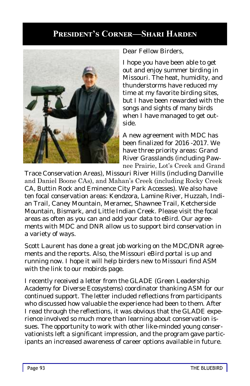# **President's Corner—Shari Harden**



Dear Fellow Birders,

I hope you have been able to get out and enjoy summer birding in Missouri. The heat, humidity, and thunderstorms have reduced my time at my favorite birding sites, but I have been rewarded with the songs and sights of many birds when I have managed to get outside.

A new agreement with MDC has been finalized for 2016 -2017. We have three priority areas: Grand River Grasslands (including Pawnee Prairie, Lot's Creek and Grand

Trace Conservation Areas), Missouri River Hills (including Danville and Daniel Boone CAs), and Mahan's Creek (including Rocky Creek CA, Buttin Rock and Eminence City Park Accesses). We also have ten focal conservation areas: Kendzora, Lamine River, Huzzah, Indian Trail, Caney Mountain, Meramec, Shawnee Trail, Ketcherside Mountain, Bismark, and Little Indian Creek. Please visit the focal areas as often as you can and add your data to eBird. Our agreements with MDC and DNR allow us to support bird conservation in a variety of ways.

Scott Laurent has done a great job working on the MDC/DNR agreements and the reports. Also, the Missouri eBird portal is up and running now. I hope it will help birders new to Missouri find ASM with the link to our mobirds page.

I recently received a letter from the GLADE (Green Leadership Academy for Diverse Ecosystems) coordinator thanking ASM for our continued support. The letter included reflections from participants who discussed how valuable the experience had been to them. After I read through the reflections, it was obvious that the GLADE experience involved so much more than learning about conservation issues. The opportunity to work with other like-minded young conservationists left a significant impression, and the program gave participants an increased awareness of career options available in future.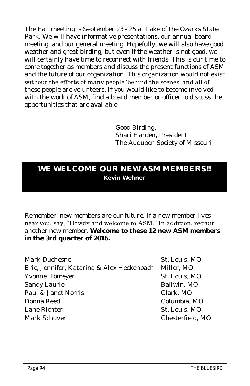The Fall meeting is September 23 - 25 at Lake of the Ozarks State Park. We will have informative presentations, our annual board meeting, and our general meeting. Hopefully, we will also have good weather and great birding, but even if the weather is not good, we will certainly have time to reconnect with friends. This is our time to come together as members and discuss the present functions of ASM and the future of our organization. This organization would not exist without the efforts of many people 'behind the scenes' and all of these people are volunteers. If you would like to become involved with the work of ASM, find a board member or officer to discuss the opportunities that are available.

> Good Birding, Shari Harden, President The Audubon Society of Missouri

# **WE WELCOME OUR NEW ASM MEMBERS!! Kevin Wehner**

Remember, new members are our future. If a new member lives near you, say, "Howdy and welcome to ASM." In addition, recruit another new member. **Welcome to these 12 new ASM members in the 3rd quarter of 2016.**

Mark Duchesne St. Louis, MO Eric, Jennifer, Katarina & Alex Heckenbach Miller, MO Yvonne Homeyer St. Louis, MO Sandy Laurie **Ballwin**, MO Paul & Janet Norris Clark, MO Donna Reed Columbia, MO Lane Richter St. Louis, MO Mark Schuver Chesterfield, MO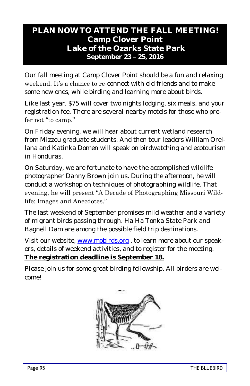# **PLAN NOW TO ATTEND THE FALL MEETING! Camp Clover Point Lake of the Ozarks State Park September 23 – 25, 2016**

Our fall meeting at Camp Clover Point should be a fun and relaxing weekend. It's a chance to re-connect with old friends and to make some new ones, while birding and learning more about birds.

Like last year, \$75 will cover two nights lodging, six meals, and your registration fee. There are several nearby motels for those who prefer not "to camp."

On Friday evening, we will hear about current wetland research from Mizzou graduate students. And then tour leaders William Orellana and Katinka Domen will speak on birdwatching and ecotourism in Honduras.

On Saturday, we are fortunate to have the accomplished wildlife photographer Danny Brown join us. During the afternoon, he will conduct a workshop on techniques of photographing wildlife. That evening, he will present "A Decade of Photographing Missouri Wildlife: Images and Anecdotes."

The last weekend of September promises mild weather and a variety of migrant birds passing through. Ha Ha Tonka State Park and Bagnell Dam are among the possible field trip destinations.

Visit our website, [www.mobirds.org](http://www.mobirds.org) , to learn more about our speakers, details of weekend activities, and to register for the meeting. **The registration deadline is September 18.**

Please join us for some great birding fellowship. All birders are welcome!

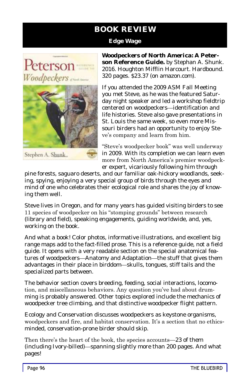# **BOOK REVIEW**

#### **Edge Wage**



Stephen A. Shunk

*Woodpeckers of North Americ***a: A Peterson Reference Guide.** by Stephan A. Shunk. 2016. Houghton Mifflin Harcourt. Hardbound. 320 pages. \$23.37 (on amazon.com).

If you attended the 2009 ASM Fall Meeting you met Steve, as he was the featured Saturday night speaker and led a workshop fieldtrip centered on woodpeckers—identification and life histories. Steve also gave presentations in St. Louis the same week, so even more Missouri birders had an opportunity to enjoy Steve's company and learn from him.

"Steve's woodpecker book" was well underway in 2009. With its completion we can learn even more from North America's premier woodpecker expert, vicariously following him through

pine forests, saguaro deserts, and our familiar oak-hickory woodlands, seeking, spying, enjoying a very special group of birds through the eyes and mind of one who celebrates their ecological role and shares the joy of knowing them well.

Steve lives in Oregon, and for many years has guided visiting birders to see 11 species of woodpecker on his "stomping grounds" between research (library and field), speaking engagements, guiding worldwide, and, yes, working on the book.

And what a book! Color photos, informative illustrations, and excellent big range maps add to the fact-filled prose. This is a reference guide, not a field guide. It opens with a very readable section on the special anatomical features of woodpeckers—Anatomy and Adaptation—the stuff that gives them advantages in their place in birddom—skulls, tongues, stiff tails and the specialized parts between.

The behavior section covers breeding, feeding, social interactions, locomotion, and miscellaneous behaviors. Any question you've had about drumming is probably answered. Other topics explored include the mechanics of woodpecker tree climbing, and that distinctive woodpecker flight pattern.

Ecology and Conservation discusses woodpeckers as keystone organisms, woodpeckers and fire, and habitat conservation. It's a section that no ethicsminded, conservation-prone birder should skip.

Then there's the heart of the book, the species accounts—23 of them (including Ivory-billed)—spanning slightly more than 200 pages. And what pages!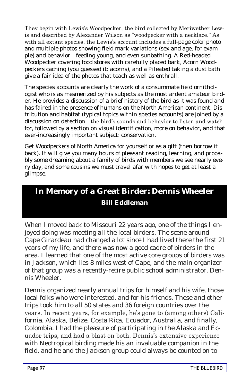They begin with Lewis's Woodpecker, the bird collected by Meriwether Lewis and described by Alexander Wilson as "woodpecker with a necklace." As with all extant species, the Lewis's account includes a full-page color photo and multiple photos showing field mark variations (sex and age, for example) and behavior—feeding young, and even sunbathing. A Red-headed Woodpecker covering food stores with carefully placed bark, Acorn Woodpeckers caching (you guessed it: acorns), and a Pileated taking a dust bath give a fair idea of the photos that teach as well as enthrall.

The species accounts are clearly the work of a consummate field ornithologist who is as mesmerized by his subjects as the most ardent amateur birder. He provides a discussion of a brief history of the bird as it was found and has faired in the presence of humans on the North American continent. Distribution and habitat (typical topics within species accounts) are joined by a discussion on detection—the bird's sounds and behavior to listen and watch for, followed by a section on visual identification, more on behavior, and that ever-increasingly important subject: conservation.

Get *Woodpeckers of North Americ*a for yourself or as a gift (then borrow it back). It will give you many hours of pleasant reading, learning, and probably some dreaming about a family of birds with members we see nearly every day, and some cousins we must travel afar with hopes to get at least a glimpse.

# **In Memory of a Great Birder: Dennis Wheeler Bill Eddleman**

When I moved back to Missouri 22 years ago, one of the things I enjoyed doing was meeting all the local birders. The scene around Cape Girardeau had changed a lot since I had lived there the first 21 years of my life, and there was now a good cadre of birders in the area. I learned that one of the most active core groups of birders was in Jackson, which lies 8 miles west of Cape, and the main organizer of that group was a recently-retire public school administrator, Dennis Wheeler.

Dennis organized nearly annual trips for himself and his wife, those local folks who were interested, and for his friends. These and other trips took him to all 50 states and 36 foreign countries over the years. In recent years, for example, he's gone to (among others) California, Alaska, Belize, Costa Rica, Ecuador, Australia, and finally, Colombia. I had the pleasure of participating in the Alaska and Ecuador trips, and had a blast on both. Dennis's extensive experience with Neotropical birding made his an invaluable companion in the field, and he and the Jackson group could always be counted on to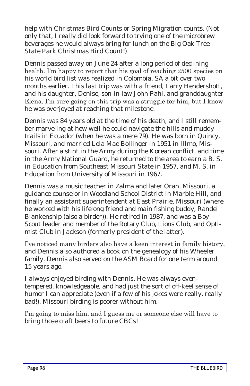help with Christmas Bird Counts or Spring Migration counts. (Not only that, I really did look forward to trying one of the microbrew beverages he would always bring for lunch on the Big Oak Tree State Park Christmas Bird Count!)

Dennis passed away on June 24 after a long period of declining health. I'm happy to report that his goal of reaching 2500 species on his world bird list was realized in Colombia, SA a bit over two months earlier. This last trip was with a friend, Larry Hendershott, and his daughter, Denise, son-in-law John Pahl, and granddaughter Elena. I'm sure going on this trip was a struggle for him, but I know he was overjoyed at reaching that milestone.

Dennis was 84 years old at the time of his death, and I still remember marveling at how well he could navigate the hills and muddy trails in Ecuador (when he was a mere 79). He was born in Quincy, Missouri, and married Lola Mae Bollinger in 1951 in Illmo, Missouri. After a stint in the Army during the Korean conflict, and time in the Army National Guard, he returned to the area to earn a B. S. in Education from Southeast Missouri State in 1957, and M. S. in Education from University of Missouri in 1967.

Dennis was a music teacher in Zalma and later Oran, Missouri, a guidance counselor in Woodland School District in Marble Hill, and finally an assistant superintendent at East Prairie, Missouri (where he worked with his lifelong friend and main fishing buddy, Randel Blankenship (also a birder)). He retired in 1987, and was a Boy Scout leader and member of the Rotary Club, Lions Club, and Optimist Club in Jackson (formerly president of the latter).

I've noticed many birders also have a keen interest in family history, and Dennis also authored a book on the genealogy of his Wheeler family. Dennis also served on the ASM Board for one term around 15 years ago.

I always enjoyed birding with Dennis. He was always eventempered, knowledgeable, and had just the sort of off-keel sense of humor I can appreciate (even if a few of his jokes were really, really bad!). Missouri birding is poorer without him.

I'm going to miss him, and I guess me or someone else will have to bring those craft beers to future CBCs!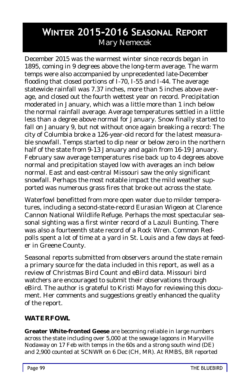# **Winter 2015-2016 Seasonal Report** Mary Nemecek

December 2015 was the warmest winter since records began in 1895, coming in 9 degrees above the long-term average. The warm temps were also accompanied by unprecedented late-December flooding that closed portions of I-70, I-55 and I-44. The average statewide rainfall was 7.37 inches, more than 5 inches above average, and closed out the fourth wettest year on record. Precipitation moderated in January, which was a little more than 1 inch below the normal rainfall average. Average temperatures settled in a little less than a degree above normal for January. Snow finally started to fall on January 9, but not without once again breaking a record: The city of Columbia broke a 126-year-old record for the latest measurable snowfall. Temps started to dip near or below zero in the northern half of the state from 9-13 January and again from 16-19 January. February saw average temperatures rise back up to 4 degrees above normal and precipitation stayed low with averages an inch below normal. East and east-central Missouri saw the only significant snowfall. Perhaps the most notable impact the mild weather supported was numerous grass fires that broke out across the state.

Waterfowl benefitted from more open water due to milder temperatures, including a second-state-record Eurasian Wigeon at Clarence Cannon National Wildlife Refuge. Perhaps the most spectacular seasonal sighting was a first winter record of a Lazuli Bunting. There was also a fourteenth state record of a Rock Wren. Common Redpolls spent a lot of time at a yard in St. Louis and a few days at feeder in Greene County.

Seasonal reports submitted from observers around the state remain a primary source for the data included in this report, as well as a review of Christmas Bird Count and eBird data. Missouri bird watchers are encouraged to submit their observations through eBird. The author is grateful to Kristi Mayo for reviewing this document. Her comments and suggestions greatly enhanced the quality of the report.

## **WATERFOWL**

**Greater White-fronted Geese** are becoming reliable in large numbers across the state including over 5,000 at the sewage lagoons in Maryville *Nodaway* on 17 Feb with temps in the 60s and a strong south wind (DE) and 2,900 counted at SCNWR on 6 Dec (CH, MR). At RMBS, BR reported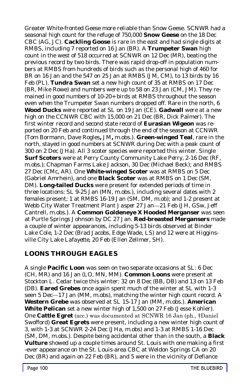Greater White-fronted Geese more reliable than Snow Geese. SCNWR had a seasonal high count for the refuge of 750,000 **Snow Geese** on the 18 Dec CBC (AG, JC). **Cackling Goose** is rare in the east and had single digits at RMBS, including 7 reported on 16 Jan (BR). A **Trumpeter Swan** high count in the west of 518 occurred at SCNWR on 12 Dec (MR), beating the previous record by two birds. There was rapid drop-off in population numbers at RMBS from hundreds of birds such as the personal high of 460 for BR on 16 Jan and the 547 on 25 Jan at RMBS (JM, CM), to 13 birds by 16 Feb (PL). **Tundra Swan** set a new high count of 35 at RMBS on 17 Dec (BR, Mike Rowe) and numbers were up to 58 on 23 Jan (CM, JM). They remained in good numbers of 10-20+ birds at RMBS throughout the season even when the Trumpeter Swan numbers dropped off. Rare in the north, 6 **Wood Ducks** were reported at SL on 19 Jan (CE). **Gadwall** were at a new high on the CCNWR CBC with 15,000 on 21 Dec (BR, Dick Palmer). The first winter record and second state record of **Eurasian Wigeon** was reported on 20 Feb and continued through the end of the season at CCNWR (Tom Bormann, Dave Rogles**,** JM**,** m.obs.). **Green-winged Teal**, rare in the north, stayed in good numbers at SCNWR during Dec with a peak count of 300 on 2 Dec (JHa). All 3 scoter species were reported this winter. Single **Surf Scoters** were at Perry County Community Lake *Perry*, 2-16 Dec (RF, m.obs.); Chapman Farms Lake *Jackson*, 30 Dec (Michael Beck); and RMBS 27 Dec (CMc, AR). One **White-winged Scoter** was at RMBS on 5 Dec (Gabriel Amrhein), and one **Black Scoter** was at RMBS on 1 Dec (SM, DM). **Long-tailed Ducks** were present for extended periods of time in three locations: SL 9-25 Jan (MN, m.obs.), including several dates with 2 females present; 1 at RMBS 16-19 Jan (SM, DM, m.ob); and 1-2 present at Webb City Water Treatment Plant *Jasper* 27 Jan—21 Feb (JH, GSw, Jeff Cantrell, m.obs.). A **Common Goldeneye X Hooded Merganser** was seen at Purtle Springs *Johnson* by DC 27 Jan. **Red-breasted Mergansers** made a couple of winter appearances, including 5-13 birds observed at Binder Lake *Cole*, 1-2 Dec (Brad Jacobs, Edge Wade, LS) and 12 were at Higginsville City Lake *Lafayette*, 20 Feb (Ellen Zellmer, SH).

## **LOONS THROUGH EAGLES**

A single **Pacific Loon** was seen on two separate occasions at SL: 6 Dec (CH, MR) and 16 Jan (LO, MN, MM). **Common Loons** were present at Stockton L. *Ceda*r twice this winter: 32 on 8 Dec (BB, DB) and 13 on 13 Feb (DB). **Eared Grebes** once again spent much of the winter at SL with 1-3 seen 5 Dec—17 Jan (MM, m.obs), matching the winter high count record. A **Western Grebe** was observed at SL 15-17 Jan (MM, m.obs.). **American White Pelican** set a new winter high of 1,500 on 27 Feb (Jesse Kohler). One **Cattle Egret** (acc.) was documented at SCNWR 16 Jan (ph., †Daniel Swofford) **Great Egrets** were present, including a new winter high count of 3, with 1-3 at SCNWR 2-24 Dec (JHa, m.obs) and 1-3 at RMBS 1-16 Dec (SM, DM, m.obs.). Despite being accidental other than in the south, a **Black Vulture** showed up a couple times around St. Louis with one making a first -ever appearance on the St. Louis-area CBC at Weldon Springs CA on 20 Dec (BR) and again on 22 Feb (BR), and 5 were in the vicinity of Defiance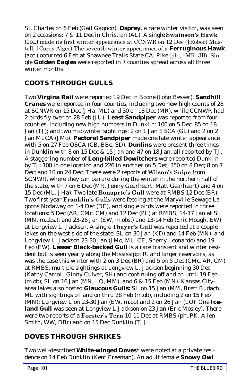*St. Charles* on 6 Feb (Gail Gagnon). **Osprey**, a rare winter visitor, was seen on 2 occasions: 7 & 11 Dec in *Christian* (AL). A single **Swainson's Hawk**  (acc.) made its first winter appearance at CCNWR on 12 Dec (†Robert Mustell, †Corey Alger) The seventh winter appearance of a **Ferruginous Hawk** (acc.) occurred 6 Feb at Shawnee Trails State CA, *Pike* (ph., †MR, JB). Single **Golden Eagles** were reported in 7 counties spread across all three winter months.

# **COOTS THROUGH GULLS**

Two **Virgina Rail** were reported 19 Dec in *Boone* (John Besser). **Sandhill Cranes** were reported in four counties, including two new high counts of 28 at SCNWR on 15 Dec (JHa, ML) and 30 on 18 Dec (MR), while CCNWR had 2 birds fly over on 28 Feb (JU). **Least Sandpiper** was reported from four counties, including new high numbers in *Dunklin*: 100 on 5 Dec, 85 on 18 Jan (TJ); and two mid-winter sightings: 2 on 1 Jan EBCA (GL) and 2 on 2 Jan MLCA (JMo). **Pectoral Sandpiper** made one late winter appearance with 5 on 27 Feb OSCA (CB, BBe, SD). **Dunlins** were present three times in *Dunklin* with 8 on 15 Dec & 15 Jan and 47 on 18 Jan, all reported by TJ. A staggering number of **Long-billed Dowitchers** were reported *Dunklin*  by TJ: 100 in one location and 226 in another on 5 Dec; 350 on 8 Dec; 8 on 7 Dec; and 10 on 24 Dec. There were 2 reports of **Wilson's Snipe** from SCNWR, where they can be rare during the winter in the northern half of the state, with 7 on 6 Dec (MR, Jenny Gearheart, Matt Gearheart) and 4 on 15 Dec (ML, JHa). Two late **Bonaprte's Gull** were at RMBS 12 Dec (BR). Two first-year **Franklin's Gulls** were feeding at the Maryville Sewage Lagoons *Nodaway* on 1-4 Dec (DE), and single birds were reported in three locations: 5 Dec (AR, CMc, CM) and 12 Dec (PL) at RMBS; 14-17 Jan at SL (MN, m.obs.); and 23-26 Jan (EW, m.obs.) and 13-14 Feb (Eric Hough, EW) at Longview L. *Jackson*. A single **Thayer's Gull** was reported at a couple lakes on the west side of the state: SL on 30 Jan (KD) and 14 Feb (MN); and Longview L. *Jackson* 23-30 Jan (JMo, ML, CE, Sherry Leonardo) and 19 Feb (EW). **Lesser Black-backed Gull** is a rare transient and winter resident but is seen yearly along the Mississippi R. and larger reservoirs, as was the case this winter with 2 on 3 Dec (BR) and 5 on 5 Dec (CMc, AR, CM) at RMBS; multiple sightings at Longview L. *Jackson* beginning 30 Dec (Kathy Carroll, Ginny Culver, SH) and continuing off and on until 19 Feb (m.ob); SL on 16 Jan (MN, LO, MM), and 6 & 15 Feb (MN). Kansas Cityarea lakes also hosted **Glaucous Gulls:** SL on 15 Jan (MM, Brett Budach, ML with sightings off and on thru 28 Feb (m.ob), including 2 on 15 Feb (MN); Longview L on 23-30 Jan (EW, m.ob) and 2 on 26 Jan (LO). One **Iceland Gull** was seen at Longview L *Jackson* on 23 Jan (Eric Mosley). There were two reports of a **Forster's Tern** 10-11 Dec at RMBS (ph. PK, Allen Smith, WW, DBr) and on 15 Dec *Dunklin* (TJ).

## **DOVES THROUGH SHRIKES**

Two well-described **White-winged Doves\*** were noted at a private residence on 14 Feb *Dunklin* (Kent Freeman). An adult female **Snowy Owl**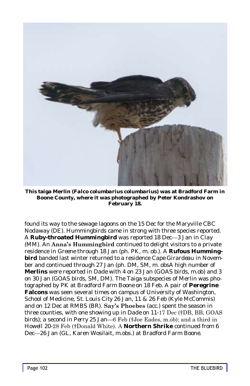

**This taiga Merlin (***Falco columbarius columbarius***) was at Bradford Farm in Boone County, where it was photographed by Peter Kondrashov on February 18.**

found its way to the sewage lagoons on the 15 Dec for the Maryville CBC *Nodaway* (DE). Hummingbirds came in strong with three species reported. A **Ruby-throated Hummingbird** was reported 18 Dec—3 Jan in *Clay* (MM). An **Anna's Hummingbird** continued to delight visitors to a private residence in *Greene* through 18 Jan (ph. PK, m. ob.). A **Rufous Hummingbird** banded last winter returned to a residence *Cape Girardeau* in November and continued through 27 Jan (ph. DM, SM, m. obsA high number of **Merlins** were reported in *Dade* with 4 on 23 Jan (GOAS birds, m.ob) and 3 on 30 Jan (GOAS birds, SM, DM). The Taiga subspecies of Merlin was photographed by PK at Bradford Farm *Boone* on 18 Feb. A pair of **Peregrine Falcons** was seen several times on campus of University of Washington, School of Medicine, *St. Louis City* 26 Jan, 11 & 26 Feb (Kyle McCommis) and on 12 Dec at RMBS (BR). **Say's Phoebes** (acc.) spent the season in three counties, with one showing up in *Dade* on 11-17 Dec (†DB, BB, GOAS birds); a second in *Perry* 25 Jan—6 Feb (†Joe Eades, m.ob); and a third in *Howell* 20-28 Feb (†Donald White). A **Northern Shrike** continued from 6 Dec—26 Jan (GL, Karen Wosilait, m.obs.) at Bradford Farm *Boone*.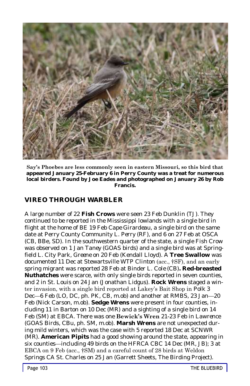

**Say's Phoebes are less commonly seen in eastern Missouri, so this bird that appeared January 25-February 6 in Perry County was a treat for numerous local birders. Found by Joe Eades and photographed on January 26 by Rob Francis.**

## **VIREO THROUGH WARBLER**

A large number of 22 **Fish Crows** were seen 23 Feb *Dunklin* (TJ). They continued to be reported in the Mississippi lowlands with a single bird in flight at the home of BE 19 Feb *Cape Girardeau*, a single bird on the same date at Perry County Community L. *Perry* (RF), and 6 on 27 Feb at OSCA (CB, BBe, SD). In the southwestern quarter of the state, a single Fish Crow was observed on 1 Jan *Taney* (GOAS birds) and a single bird was at Springfield L. City Park*, Greene* on 20 Feb (Kendall Lloyd). A **Tree Swallow** was documented 11 Dec at Stewartsville WTP *Clinton* (acc., †SF), and an early spring migrant was reported 28 Feb at Binder L. *Cole* (CB)**. Red-breasted Nuthatches** were scarce, with only single birds reported in seven counties, and 2 in St. Louis on 24 Jan (Jonathan Lidgus). **Rock Wrens** staged a winter invasion, with a single bird reported at Lakey's Bait Shop in *Polk* 3 Dec—6 Feb (LO, DC, ph. PK, CB, m.ob) and another at RMBS, 23 Jan—20 Feb (Nick Carson, m.ob). **Sedge Wrens** were present in four counties, including 11 in *Barton* on 10 Dec (MR) and a sighting of a single bird on 14 Feb (SM) at EBCA. There was one **Bewick's Wren** 21-23 Feb in *Lawrence* (GOAS Birds, CBu, ph. SM, m.ob). **Marsh Wrens** are not unexpected during mild winters, which was the case with 5 reported 18 Dec at SCNWR (MR). **American Pipits** had a good showing around the state, appearing in six counties—including 49 birds on the HFRCA CBC 14 Dec (MR, JB); 3 at EBCA on 9 Feb (acc., †SM) and a careful count of 28 birds at Weldon Springs CA *St. Charles* on 25 Jan (Garrett Sheets, The Birding Project).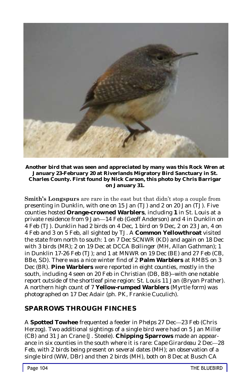

**Another bird that was seen and appreciated by many was this Rock Wren at January 23-February 20 at Riverlands Migratory Bird Sanctuary in St. Charles County. First found by Nick Carson, this photo by Chris Barrigar on January 31.**

**Smith's Longspurs** are rare in the east but that didn't stop a couple from presenting in *Dunklin,* with one on 15 Jan (TJ) and 2 on 20 Jan (TJ). Five counties hosted **Orange-crowned Warblers**, including **1** in *St. Louis* at a private residence from 9 Jan—14 Feb (Geoff Anderson) and 4 in *Dunklin* on 4 Feb (TJ). *Dunklin* had 2 birds on 4 Dec, 1 bird on 9 Dec, 2 on 23 Jan, 4 on 4 Feb and 3 on 5 Feb, all sighted by TJ. A **Common Yellowthroat** visited the state from north to south: 1 on 7 Dec SCNWR (KD) and again on 18 Dec with 3 birds (MR); 2 on 19 Dec at DCCA *Bollinger* (MH, Allan Gathman); 1 in Dunklin 17-26 Feb (TJ); and 1 at MNWR on 19 Dec (BE) and 27 Feb (CB, BBe, SD). There was a nice winter find of 2 **Palm Warblers** at RMBS on 3 Dec (BR). **Pine Warblers** were reported in eight counties, mostly in the south, including 4 seen on 20 Feb in *Christian* (DB, BB)--with one notable report outside of the shortleaf pine region: *St. Louis* 11 Jan (Bryan Prather). A northern high count of 7 **Yellow-rumped Warblers** (Myrtle form) was photographed on 17 Dec *Adair* (ph. PK, Frankie Cuculich).

## **SPARROWS THROUGH FINCHES**

A **Spotted Towhee** frequented a feeder in *Phelps* 27 Dec—23 Feb (Chris Herzog). Two additional sightings of a single bird were had on 5 Jan *Miller* (CB) and 31 Jan *Crane* (J. Steele). **Chipping Sparrows** made an appearance in six counties in the south where it is rare*: Cape Girardeau* 2 Dec—28 Feb, with 2 birds being present on several dates (MH); an observation of a single bird (WW, DBr) and then 2 birds (MH), both on 8 Dec at Busch CA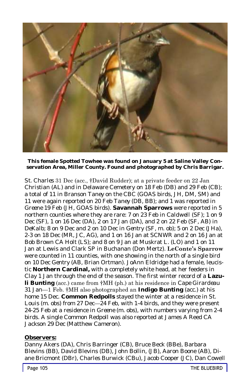

**This female Spotted Towhee was found on January 5 at Saline Valley Conservation Area, Miller County. Found and photographed by Chris Barrigar.**

*St. Charles* 31 Dec (acc., †David Rudder); at a private feeder on 22 Jan *Christian* (AL) and in Delaware Cemetery on 18 Feb (DB) and 29 Feb (CB); a total of 11 in Branson *Taney* on the CBC (GOAS birds, JH, DM, SM) and 11 were again reported on 20 Feb *Taney* (DB, BB); and 1 was reported in *Greene* 19 Feb (JH, GOAS birds). **Savannah Sparrows** were reported in 5 northern counties where they are rare: 7 on 23 Feb in *Caldwell* (SF); 1 on 9 Dec (SF), 1 on 16 Dec (DA), 2 on 17 Jan (DA), and 2 on 22 Feb (SF, AB) in *DeKalb*; 8 on 9 Dec and 2 on 10 Dec in *Gentry* (SF, m. ob); 5 on 2 Dec (JHa), 2-3 on 18 Dec (MR, JC, AG), and 1 on 16 Jan at SCNWR and 2 on 16 Jan at Bob Brown CA *Holt* (LS)*;* and 8 on 9 Jan at Muskrat L. (LO) and 1 on 11 Jan at Lewis and Clark SP in *Buchanan* (Don Mertz). **LeConte's Sparrow** were counted in 11 counties, with one showing in the north of a single bird on 10 Dec *Gentry* (AB, Brian Ortman). JoAnn Eldridge had a female, leucistic **Northern Cardinal,** with a completely white head, at her feeders in *Clay* 1 Jan through the end of the season. The first winter record of a **Lazuli Bunting** (acc.) came from †MH (ph.) at his residence in *Cape Girardeau* 31 Jan—1 Feb. †MH also photographed an **Indigo Bunting** (acc.) at his home 15 Dec. **Common Redpolls** stayed the winter at a residence in *St. Louis* (m. obs) from 27 Dec—24 Feb, with 1-4 birds, and they were present 24-25 Feb at a residence in *Greene* (m. obs), with numbers varying from 2-4 birds. A single Common Redpoll was also reported at James A Reed CA *Jackson* 29 Dec (Matthew Cameron).

#### **Observers:**

Danny Akers (DA), Chris Barringer (CB), Bruce Beck (BBe), Barbara Blevins (BB), David Blevins (DB), John Bollin, (JB), Aaron Boone (AB), Diane Bricmont (DBr), Charles Burwick (CBu), Jacob Cooper (JC), Dan Cowell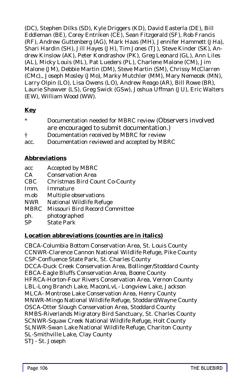(DC), Stephen Dilks (SD), Kyle Driggers (KD), David Easterla (DE), Bill Eddleman (BE), Corey Entriken (CE), Sean Fitzgerald (SF), Rob Francis (RF), Andrew Guttenberg (AG), Mark Haas (MH), Jennifer Hammett (JHa), Shari Hardin (SH), Jill Hayes (JH), Tim Jones (TJ), Steve Kinder (SK), Andrew Kinslow (AK), Peter Kondrashov (PK), Greg Leonard (GL), Ann Liles (AL), Micky Louis (ML), Pat Lueders (PL), Charlene Malone (CM), Jim Malone (JM), Debbie Martin (DM), Steve Martin (SM), Chrissy McClarren (CMc),, Joseph Mosley (JMo), Marky Mutchler (MM), Mary Nemecek (MN), Larry Olpin (LO), Lisa Owens (LO), Andrew Reago (AR), Bill Rowe (BR), Laurie Shawver (LS), Greg Swick (GSw), Joshua Uffman (JU), Eric Walters (EW), William Wood (WW).

#### **Key**

- Documentation needed for MBRC review (Observers involved are encouraged to submit documentation.)
- † Documentation received by MBRC for review
- acc. Documentation reviewed and accepted by MBRC

#### **Abbreviations**

- acc Accepted by MBRC
- CA Conservation Area
- CBC Christmas Bird Count Co-County
- Imm. Immature
- m.ob Multiple observations
- NWR National Wildlife Refuge
- MBRC Missouri Bird Record Committee
- ph. photographed
- SP State Park

#### **Location abbreviations (counties are in italics)**

CBCA-Columbia Bottom Conservation Area, St. Louis County CCNWR-Clarence Cannon National Wildlife Refuge, Pike County CSP-Confluence State Park, St. Charles County DCCA-Duck Creek Conservation Area, Bollinger/Stoddard County EBCA-Eagle Bluffs Conservation Area, Boone County HFRCA-Horton-Four Rivers Conservation Area, Vernon County LBL-Long Branch Lake, MaconLvL- Longview Lake, Jackson MLCA- Montrose Lake Conservation Area, Henry County MNWR-Mingo National Wildlife Refuge, Stoddard/Wayne County OSCA-Otter Slough Conservation Area, Stoddard County RMBS-Riverlands Migratory Bird Sanctuary, St. Charles County SCNWR-Squaw Creek National Wildlife Refuge, Holt County SLNWR-Swan Lake National Wildlife Refuge, Chariton County SL-Smithville Lake, Clay County STJ- St. Joseph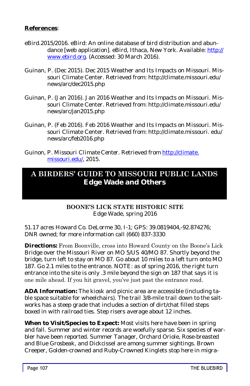#### **References**:

- eBird.2015/2016. eBird: An online database of bird distribution and abundance [web application]. eBird, Ithaca, New York. Available: [http://](http://www.ebird.org) [www.ebird.org.](http://www.ebird.org) (Accessed: 30 March 2016).
- Guinan, P. (Dec 2015). Dec 2015 Weather and Its Impacts on Missouri. Missouri Climate Center. Retrieved from: http://climate.missouri.edu/ news/arc/dec2015.php
- Guinan, P. (Jan 2016). Jan 2016 Weather and Its Impacts on Missouri. Missouri Climate Center. Retrieved from: http://climate.missouri.edu/ news/arc/jan2015.php
- Guinan, P. (Feb 2016). Feb 2016 Weather and Its Impacts on Missouri. Missouri Climate Center. Retrieved from: http://climate.missouri. edu/ news/arc/feb2016.php
- Guinon, P. *Missouri Climate Center*. Retrieved from [http://climate.](http://climate.missouri.edu/) [missouri.edu/,](http://climate.missouri.edu/) 2015.

### **A BIRDERS' GUIDE TO MISSOURI PUBLIC LANDS Edge Wade and Others**

#### **BOONE'S LICK STATE HISTORIC SITE**

Edge Wade, spring 2016

51.17 acres Howard Co. DeLorme 30, I-1; GPS: 39.0819404,-92.874276; DNR owned; for more information call (660) 837-3330

**Directions:** From Boonville, cross into Howard County on the Boone's Lick Bridge over the Missouri River on MO 5/US 40/MO 87. Shortly beyond the bridge, turn left to stay on MO 87. Go about 10 miles to a left turn onto MO 187. Go 2.1 miles to the entrance. NOTE: as of spring 2016, the right turn entrance into the site is only .3 mile beyond the sign on 187 that says it is one mile ahead. If you hit gravel, you've just past the entrance road.

**ADA Information:** The kiosk and picnic area are accessible (including table space suitable for wheelchairs). The trail 3/8-mile trail down to the saltworks has a steep grade that includes a section of dirt/chat filled steps boxed in with railroad ties. Step risers average about 12 inches.

**When to Visit/Species to Expect:** Most visits here have been in spring and fall. Summer and winter records are woefully sparse. Six species of warbler have been reported. Summer Tanager, Orchard Oriole, Rose-breasted and Blue Grosbeak, and Dickcissel are among summer sightings. Brown Creeper, Golden-crowned and Ruby-Crowned Kinglets stop here in migra-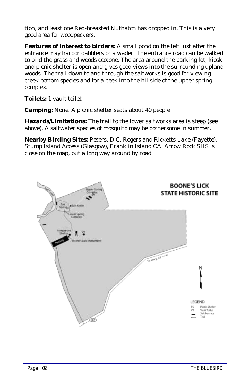tion, and least one Red-breasted Nuthatch has dropped in. This is a very good area for woodpeckers.

**Features of interest to birders:** A small pond on the left just after the entrance may harbor dabblers or a wader. The entrance road can be walked to bird the grass and woods ecotone. The area around the parking lot, kiosk and picnic shelter is open and gives good views into the surrounding upland woods. The trail down to and through the saltworks is good for viewing creek bottom species and for a peek into the hillside of the upper spring complex.

**Toilets:** 1 vault toilet

**Camping:** None. A picnic shelter seats about 40 people

**Hazards/Limitations:** The trail to the lower saltworks area is steep (see above). A saltwater species of mosquito may be bothersome in summer.

**Nearby Birding Sites:** Peters, D.C. Rogers and Ricketts Lake (Fayette), Stump Island Access (Glasgow), Franklin Island CA. Arrow Rock SHS is close on the map, but a long way around by road.

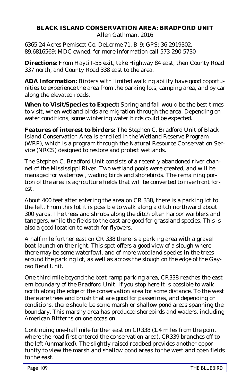#### **BLACK ISLAND CONSERVATION AREA: BRADFORD UNIT** Allen Gathman, 2016

6365.24 Acres Pemiscot Co. DeLorme 71, B-9; GPS: 36.2919302,- 89.6816569; MDC owned; for more information call 573-290-5730

**Directions:** From Hayti I-55 exit, take Highway 84 east, then County Road 337 north, and County Road 338 east to the area.

**ADA Information:** Birders with limited walking ability have good opportunities to experience the area from the parking lots, camping area, and by car along the elevated roads.

**When to Visit/Species to Expect:** Spring and fall would be the best times to visit, when wetland birds are migration through the area. Depending on water conditions, some wintering water birds could be expected.

**Features of interest to birders:** The Stephen C. Bradford Unit of Black Island Conservation Area is enrolled in the Wetland Reserve Program (WRP), which is a program through the Natural Resource Conservation Service (NRCS) designed to restore and protect wetlands.

The Stephen C. Bradford Unit consists of a recently abandoned river channel of the Mississippi River. Two wetland pools were created, and will be managed for waterfowl, wading birds and shorebirds. The remaining portion of the area is agriculture fields that will be converted to riverfront forest.

About 400 feet after entering the area on CR 338, there is a parking lot to the left. From this lot it is possible to walk along a ditch northward about 300 yards. The trees and shrubs along the ditch often harbor warblers and tanagers, while the fields to the east are good for grassland species. This is also a good location to watch for flyovers.

A half mile further east on CR 338 there is a parking area with a gravel boat launch on the right. This spot offers a good view of a slough where there may be some waterfowl, and of more woodland species in the trees around the parking lot, as well as across the slough on the edge of the Gayoso Bend Unit.

One-third mile beyond the boat ramp parking area, CR338 reaches the eastern boundary of the Bradford Unit. If you stop here it is possible to walk north along the edge of the conservation area for some distance. To the west there are trees and brush that are good for passerines, and depending on conditions, there should be some marsh or shallow pond areas spanning the boundary. This marshy area has produced shorebirds and waders, including American Bitterns on one occasion.

Continuing one-half mile further east on CR338 (1.4 miles from the point where the road first entered the conservation area), CR339 branches off to the left (unmarked). The slightly raised roadbed provides another opportunity to view the marsh and shallow pond areas to the west and open fields to the east.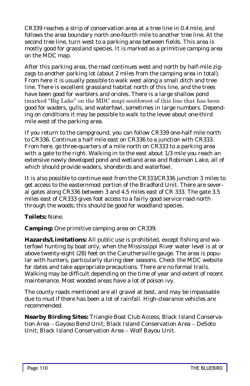CR339 reaches a strip of conservation area at a tree line in 0.4 mile, and follows the area boundary north one-fourth mile to another tree line. At the second tree line, turn west to a parking area between fields. This area is mostly good for grassland species. It is marked as a primitive camping area on the MDC map.

After this parking area, the road continues west and north by half-mile zigzags to another parking lot (about 2 miles from the camping area in total). From here it is usually possible to walk west along a small ditch and tree line. There is excellent grassland habitat north of this line, and the trees have been good for warblers and orioles. There is a large shallow pond (marked "Big Lake" on the MDC map) southwest of this line that has been good for waders, gulls, and waterfowl, sometimes in large numbers. Depending on conditions it may be possible to walk to the levee about one-third mile west of the parking area.

If you return to the campground, you can follow CR339 one-half mile north to CR336. Continue a half mile east on CR336 to a junction with CR333. From here, go three-quarters of a mile north on CR333 to a parking area with a gate to the right. Walking in to the east about 1/3 mile you reach an extensive newly developed pond and wetland area and Robinson Lake, all of which should provide waders, shorebirds and waterfowl.

It is also possible to continue east from the CR333/CR336 junction 3 miles to get access to the easternmost portion of the Bradford Unit. There are several gates along CR336 between 3 and 4.5 miles east of CR 333. The gate 3.5 miles east of CR333 gives foot access to a fairly good service road north through the woods; this should be good for woodland species.

**Toilets:** None.

**Camping:** One primitive camping area on CR339.

**Hazards/Limitations:** All public use is prohibited, except fishing and waterfowl hunting by boat only, when the Mississippi River water level is at or above twenty-eight (28) feet on the [Caruthersville gauge.](http://water.weather.gov/ahps2/index.php?wfo=pah) The area is popular with hunters, particularly during deer seasons. Check the MDC website for dates and take appropriate precautions. There are no formal trails. Walking may be difficult depending on the time of year and extent of recent maintenance. Most wooded areas have a lot of poison ivy.

The county roads mentioned are all gravel at best, and may be impassable due to mud if there has been a lot of rainfall. High-clearance vehicles are recommended.

**Nearby Birding Sites:** Triangle Boat Club Access; Black Island Conservation Area – Gayoso Bend Unit; Black Island Conservation Area – DeSoto Unit; Black Island Conservation Area – Wolf Bayou Unit.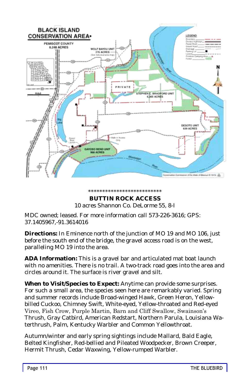

#### \*\*\*\*\*\*\*\*\*\*\*\*\*\*\*\*\*\*\*\*\*\*\*\*\*\* **BUTTIN ROCK ACCESS** 10 acres Shannon Co. DeLorme 55, 8-I

MDC owned; leased. For more information call 573-226-3616; GPS: 37.1405967,-91.3614016

**Directions:** In Eminence north of the junction of MO 19 and MO 106, just before the south end of the bridge, the gravel access road is on the west, paralleling MO 19 into the area.

**ADA Information:** This is a gravel bar and articulated mat boat launch with no amenities. There is no trail. A two-track road goes into the area and circles around it. The surface is river gravel and silt.

**When to Visit/Species to Expect:** Anytime can provide some surprises. For such a small area, the species seen here are remarkably varied. Spring and summer records include Broad-winged Hawk, Green Heron, Yellowbilled Cuckoo, Chimney Swift, White-eyed, Yellow-throated and Red-eyed Vireo, Fish Crow, Purple Martin, Barn and Cliff Swallow, Swainson's Thrush, Gray Catbird, American Redstart, Northern Parula, Louisiana Waterthrush, Palm, Kentucky Warbler and Common Yellowthroat.

Autumn/winter and early spring sightings include Mallard, Bald Eagle, Belted Kingfisher, Red-bellied and Pileated Woodpecker, Brown Creeper, Hermit Thrush, Cedar Waxwing, Yellow-rumped Warbler.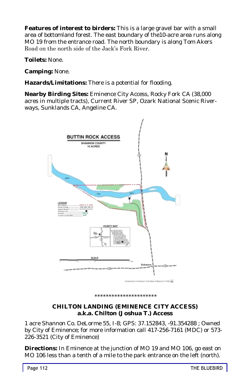**Features of interest to birders:** This is a large gravel bar with a small area of bottomland forest. The east boundary of the10-acre area runs along MO 19 from the entrance road. The north boundary is along Tom Akers Road on the north side of the Jack's Fork River.

**Toilets:** None.

**Camping:** None.

**Hazards/Limitations:** There is a potential for flooding.

**Nearby Birding Sites:** Eminence City Access, Rocky Fork CA (38,000 acres in multiple tracts), Current River SP, Ozark National Scenic Riverways, Sunklands CA, Angeline CA.



\*\*\*\*\*\*\*\*\*\*\*\*\*\*\*\*\*\*

#### **CHILTON LANDING (EMINENCE CITY ACCESS) a.k.a. Chilton (Joshua T.) Access**

1 acre Shannon Co. DeLorme 55, I-8; GPS: 37.152843, -91.354288 ; Owned by City of Eminence; for more information call 417-256-7161 (MDC) or 573- 226-3521 (City of Eminence)

**Directions:** In Eminence at the junction of MO 19 and MO 106, go east on MO 106 less than a tenth of a mile to the park entrance on the left (north).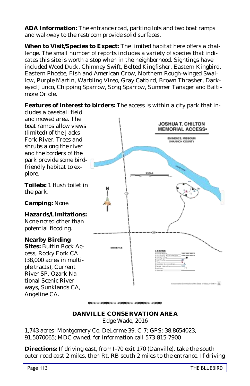**ADA Information:** The entrance road, parking lots and two boat ramps and walkway to the restroom provide solid surfaces.

**When to Visit/Species to Expect:** The limited habitat here offers a challenge. The small number of reports includes a variety of species that indicates this site is worth a stop when in the neighborhood. Sightings have included Wood Duck, Chimney Swift, Belted Kingfisher, Eastern Kingbird, Eastern Phoebe, Fish and American Crow, Northern Rough-winged Swallow, Purple Martin, Warbling Vireo, Gray Catbird, Brown Thrasher, Darkeyed Junco, Chipping Sparrow, Song Sparrow, Summer Tanager and Baltimore Oriole.

**Features of interest to birders:** The access is within a city park that in-

cludes a baseball field and mowed area. The **JOSHUA T. CHILTON** boat ramps allow views **MEMORIAL ACCESS** (limited) of the Jacks EMINENCE, MISSOURI<br>SHANNON COUNTY Fork River. Trees and shrubs along the river and the borders of the park provide some birdfriendly habitat to explore. **Toilets:** 1 flush toilet in the park. **Camping:** None. **Hazards/Limitations:** None noted other than potential flooding. **Nearby Birding Sites:** Buttin Rock Ac-**HARMON** cess, Rocky Fork CA **ROEND** (38,000 acres in multiple tracts), Current River SP, Ozark National Scenic Riverways, Sunklands CA, Angeline CA.

#### **DANVILLE CONSERVATION AREA** Edge Wade, 2016

\*\*\*\*\*\*\*\*\*\*\*\*\*\*\*\*\*\*\*\*\*\*\*\*\*\*\*\*\*\*\*\*\*\*\*

1,743 acres Montgomery Co. DeLorme 39, C-7; GPS: 38.8654023,- 91.5070065; MDC owned; for information call 573-815-7900

**Directions:** If driving east, from I-70 exit 170 (Danville), take the south outer road east 2 miles, then Rt. RB south 2 miles to the entrance. If driving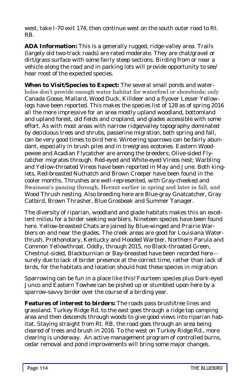west, take I-70 exit 174, then continue west on the south outer road to Rt. RB.

**ADA Information:** This is a generally rugged, ridge-valley area. Trails (largely old two-track roads) are rated moderate. They are chat/gravel or dirt/grass surface with some fairly steep sections. Birding from or near a vehicle along the road and in parking lots will provide opportunity to see/ hear most of the expected species.

**When to Visit/Species to Expect:** The several small ponds and waterholes don't provide enough water habitat for waterfowl or shorebirds; only Canada Goose, Mallard, Wood Duck, Killdeer and a flyover Lesser Yellowlegs have been reported. This makes the species list of 128 as of spring 2016 all the more impressive for an area mostly upland woodland, bottomland and upland forest, old fields and cropland, and glades accessible with some effort. As with most areas with narrow ridge/valley topography dominated by deciduous trees and shrubs, passerine migration, both spring and fall, can be very good times to bird here. Wintering sparrows can be fairly abundant, especially in brush piles and in tree/grass ecotones. Eastern Woodpewee and Acadian Flycatcher are among the breeders; Olive-sided Flycatcher migrates through. Red-eyed and White-eyed Vireos nest; Warbling and Yellow-throated Vireos have been reported in May and June. Both kinglets, Red-breasted Nuthatch and Brown Creeper have been found in the cooler months. Thrushes are well-represented, with Gray-cheeked and Swainson's passing through, Hermit earlier in spring and later in fall, and Wood Thrush nesting. Also breeding here are Blue-gray Gnatcatcher, Gray Catbird, Brown Thrasher, Blue Grosbeak and Summer Tanager.

The diversity of riparian, woodland and glade habitats makes this an excellent milieu for a birder seeking warblers. Nineteen species have been found here. Yellow-breasted Chats are joined by Blue-winged and Prairie Warblers on and near the glades. The creek areas are good for Louisiana Waterthrush, Prothonotary, Kentucky and Hooded Warbler, Northern Parula and Common Yellowthroat. Oddly, through 2015, no Black-throated Green, Chestnut-sided, Blackburnian or Bay-breasted have been recorded here surely due to lack of birder presence at the correct time, rather than lack of birds, for the habitats and location should host these species in migration.

Sparrowing can be fun in a place like this! Fourteen species plus Dark-eyed Junco and Eastern Towhee can be pished up or stumbled upon here by a sparrow-savvy birder over the course of a birding year.

**Features of interest to birders:** The roads pass brush/tree lines and grassland. Turkey Ridge Rd. to the east goes through a ridge top camping area and then descends through woods to give good views into riparian habitat. Staying straight from Rt. RB, the road goes through an area being cleared of trees and brush in 2016. To the west on Turkey Ridge Rd., more clearing is underway. An active management program of controlled burns, cedar removal and pond improvements will bring some major changes.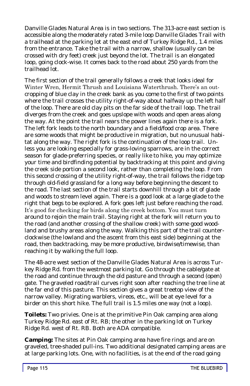Danville Glades Natural Area is in two sections. The 313-acre east section is accessible along the moderately rated 3-mile loop Danville Glades Trail with a trailhead at the parking lot at the east end of Turkey Ridge Rd., 1.4 miles from the entrance. Take the trail with a narrow, shallow (usually can be crossed with dry feet) creek just beyond the lot. The trail is an elongated loop, going clock-wise. It comes back to the road about 250 yards from the trailhead lot.

The first section of the trail generally follows a creek that looks ideal for Winter Wren, Hermit Thrush and Louisiana Waterthrush. There's an outcropping of blue clay in the creek bank as you come to the first of two points where the trail crosses the utility right-of-way about halfway up the left half of the loop. There are old clay pits on the far side of the trail loop. The trail diverges from the creek and goes upslope with woods and open areas along the way. At the point the trail nears the power lines again there is a fork. The left fork leads to the north boundary and a field/food crop area. There are some woods that might be productive in migration, but no unusual habitat along the way. The right fork is the continuation of the loop trail. Unless you are looking especially for grass-loving sparrows, are in the correct season for glade-preferring species, or really like to hike, you may optimize your time and birdfinding potential by backtracking at this point and giving the creek side portion a second look, rather than completing the loop. From this second crossing of the utility right-of-way, the trail follows the ridge top through old-field grassland for a long way before beginning the descent to the road. The last section of the trail starts downhill through a bit of glade and woods to stream level again. There is a good look at a large glade to the right that begs to be explored. A fork goes left just before reaching the road. It's good for checking for birds along the creek bottom. You must turn around to rejoin the main trail. Staying right at the fork will return you to the road (and another crossing of the shallow creek) with some good woodland and brushy areas along the way. Walking this part of the trail counterclockwise (the lowland and the ascent from this east side) beginning at the road, then backtracking, may be more productive, birdwise/timewise, than reaching it by walking the full loop.

The 48-acre west section of the Danville Glades Natural Area is across Turkey Ridge Rd. from the westmost parking lot. Go through the cable/gate at the road and continue through the old pasture and through a second (open) gate. The graveled road/trail curves right soon after reaching the tree line at the far end of this pasture. This section gives a great treetop view of the narrow valley. Migrating warblers, vireos, etc., will be at eye level for a birder on this short hike. The full trail is 1.5 miles one way (not a loop).

**Toilets:** Two privies. One is at the primitive Pin Oak camping area along Turkey Ridge Rd. east of Rt. RB; the other in the parking lot on Turkey Ridge Rd. west of Rt. RB. Both are ADA compatible.

**Camping:** The sites at Pin Oak camping area have fire rings and are on graveled, tree-shaded pull-ins. Two additional designated camping areas are at large parking lots. One, with no facilities, is at the end of the road going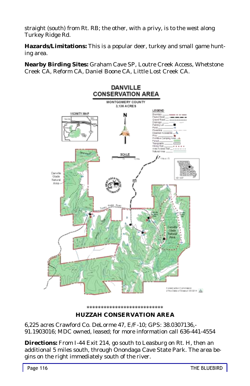straight (south) from Rt. RB; the other, with a privy, is to the west along Turkey Ridge Rd.

**Hazards/Limitations:** This is a popular deer, turkey and small game hunting area.

**Nearby Birding Sites:** Graham Cave SP, Loutre Creek Access, Whetstone Creek CA, Reform CA, Daniel Boone CA, Little Lost Creek CA.



#### \*\*\*\*\*\*\*\*\*\*\*\*\*\*\*\*\*\*\*\*\*\*\*\*\*\*\* **HUZZAH CONSERVATION AREA**

6,225 acres Crawford Co. DeLorme 47, E/F-10; GPS: 38.0307136,- 91.1903016; MDC owned, leased; for more information call 636-441-4554

**Directions:** From I-44 Exit 214, go south to Leasburg on Rt. H, then an additional 5 miles south, through Onondaga Cave State Park. The area begins on the right immediately south of the river.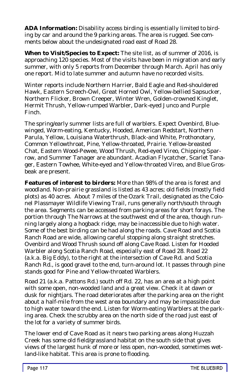**ADA Information:** Disability access birding is essentially limited to birding by car and around the 9 parking areas. The area is rugged. See comments below about the undesignated road east of Road 28.

**When to Visit/Species to Expect:** The site list, as of summer of 2016, is approaching 120 species. Most of the visits have been in migration and early summer, with only 5 reports from December through March. April has only one report. Mid to late summer and autumn have no recorded visits.

Winter reports include Northern Harrier, Bald Eagle and Red-shouldered Hawk, Eastern Screech-Owl, Great Horned Owl, Yellow-bellied Sapsucker, Northern Flicker, Brown Creeper, Winter Wren, Golden-crowned Kinglet, Hermit Thrush, Yellow-rumped Warbler, Dark-eyed Junco and Purple Finch.

The spring/early summer lists are full of warblers. Expect Ovenbird, Bluewinged, Worm-eating, Kentucky, Hooded, American Redstart, Northern Parula, Yellow, Louisiana Waterthrush, Black-and White, Prothonotary, Common Yellowthroat, Pine, Yellow-throated, Prairie. Yellow-breasted Chat, Eastern Wood-Pewee, Wood Thrush, Red-eyed Vireo, Chipping Sparrow, and Summer Tanager are abundant. Acadian Flycatcher, Scarlet Tanager, Eastern Towhee, White-eyed and Yellow-throated Vireo, and Blue Grosbeak are present.

**Features of interest to birders:** More than 98% of the area is forest and woodland. Non-prairie grassland is listed as 43 acres; old fields (mostly field plots) as 40 acres. About 7 miles of the Ozark Trail, designated as the Colonel Plassmayer Wildlife Viewing Trail, runs generally north/south through the area. Segments can be accessed from parking areas for short forays. The portion through The Narrows at the southwest end of the area, though running largely along a hogback ridge, may be inaccessible due to high water. Some of the best birding can be had along the roads. Cave Road and Scotia Ranch Road are wide, allowing careful stopping along straight stretches. Ovenbird and Wood Thrush sound off along Cave Road. Listen for Hooded Warbler along Scotia Ranch Road, especially east of Road 28. Road 22 (a.k.a. Big Eddy), to the right at the intersection of Cave Rd. and Scotia Ranch Rd., is good gravel to the end, turn-around lot. It passes through pine stands good for Pine and Yellow-throated Warblers.

Road 21 (a.k.a. Pattons Rd.) south off Rd. 22, has an area at a high point with some open, non-wooded land and a great view. Check it at dawn or dusk for nightjars. The road deteriorates after the parking area on the right about a half-mile from the west area boundary and may be impassible due to high water toward the end. Listen for Worm-eating Warblers at the parking area. Check the scrubby area on the north side of the road just east of the lot for a variety of summer birds.

The lower end of Cave Road as it nears two parking areas along Huzzah Creek has some old field/grassland habitat on the south side that gives views of the largest hunk of more or less open, non-wooded, sometimes wetland-like habitat. This area is prone to flooding.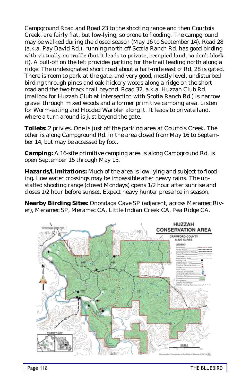Campground Road and Road 23 to the shooting range and then Courtois Creek, are fairly flat, but low-lying, so prone to flooding. The campground may be walked during the closed season (May 16 to September 14). Road 28 (a.k.a. Pay David Rd.), running north off Scotia Ranch Rd. has good birding with virtually no traffic (but it leads to private, occupied land, so don't block it). A pull-off on the left provides parking for the trail leading north along a ridge. The undesignated short road about a half-mile east of Rd. 28 is gated. There is room to park at the gate, and very good, mostly level, undisturbed birding through pines and oak-hickory woods along a ridge on the short road and the two-track trail beyond. Road 32, a.k.a. Huzzah Club Rd. (mailbox for Huzzah Club at intersection with Scotia Ranch Rd.) is narrow gravel through mixed woods and a former primitive camping area. Listen for Worm-eating and Hooded Warbler along it. It leads to private land, where a turn around is just beyond the gate.

**Toilets:** 2 privies. One is just off the parking area at Courtois Creek. The other is along Campground Rd. in the area closed from May 16 to September 14, but may be accessed by foot.

**Camping:** A 16-site primitive camping area is along Campground Rd. is open September 15 through May 15.

**Hazards/Limitations:** Much of the area is low-lying and subject to flooding. Low water crossings may be impassible after heavy rains. The unstaffed shooting range (closed Mondays) opens 1/2 hour after sunrise and closes 1/2 hour before sunset. Expect heavy hunter presence in season.

**Nearby Birding Sites:** Onondaga Cave SP (adjacent, across Meramec River), Meramec SP, Meramec CA, Little Indian Creek CA, Pea Ridge CA.

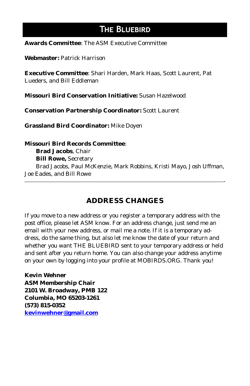# **The Bluebird**

**Awards Committee**: The ASM Executive Committee

**Webmaster:** Patrick Harrison

**Executive Committee**: Shari Harden, Mark Haas, Scott Laurent, Pat Lueders, and Bill Eddleman

**Missouri Bird Conservation Initiative:** Susan Hazelwood

**Conservation Partnership Coordinator:** Scott Laurent

**Grassland Bird Coordinator:** Mike Doyen

**Missouri Bird Records Committee**: **Brad Jacobs**, Chair **Bill Rowe,** Secretary Brad Jacobs, Paul McKenzie, Mark Robbins, Kristi Mayo, Josh Uffman, Joe Eades, and Bill Rowe

# **ADDRESS CHANGES**

 $\overline{\phantom{a}}$  , and the contract of the contract of the contract of the contract of the contract of the contract of the contract of the contract of the contract of the contract of the contract of the contract of the contrac

If you move to a new address or you register a temporary address with the post office, please let ASM know. For an address change, just send me an email with your new address, or mail me a note. If it is a temporary address, do the same thing, but also let me know the date of your return and whether you want THE BLUEBIRD sent to your temporary address or held and sent after you return home. You can also change your address anytime on your own by logging into your profile at MOBIRDS.ORG. Thank you!

**Kevin Wehner ASM Membership Chair 2101 W. Broadway, PMB 122 Columbia, MO 65203-1261 (573) 815-0352 [kevinwehner@gmail.com](mailto:kevinwehner@gmail.com)**